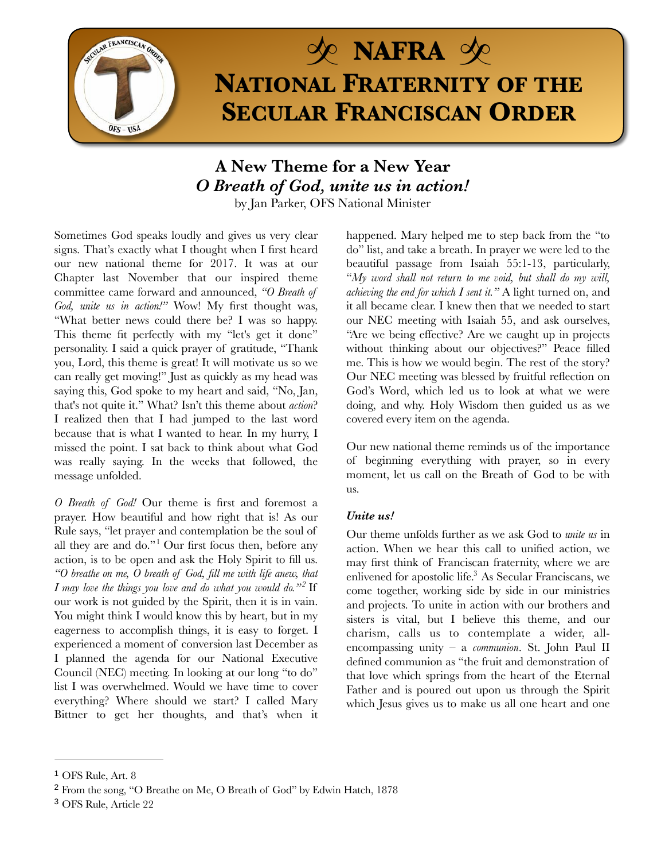

## **A New Theme for a New Year**  *O Breath of God, unite us in action!*

by Jan Parker, OFS National Minister

Sometimes God speaks loudly and gives us very clear signs. That's exactly what I thought when I first heard our new national theme for 2017. It was at our Chapter last November that our inspired theme committee came forward and announced, *"O Breath of God, unite us in action!"* Wow! My first thought was, "What better news could there be? I was so happy. This theme fit perfectly with my "let's get it done" personality. I said a quick prayer of gratitude, "Thank you, Lord, this theme is great! It will motivate us so we can really get moving!" Just as quickly as my head was saying this, God spoke to my heart and said, "No, Jan, that's not quite it." What? Isn't this theme about *action*? I realized then that I had jumped to the last word because that is what I wanted to hear. In my hurry, I missed the point. I sat back to think about what God was really saying. In the weeks that followed, the message unfolded.

<span id="page-0-3"></span>*O Breath of God!* Our theme is first and foremost a prayer. How beautiful and how right that is! As our Rule says, "let prayer and contemplation be the soul of allthey are and do."<sup>[1](#page-0-0)</sup> Our first focus then, before any action, is to be open and ask the Holy Spirit to fill us. *"O breathe on me, O breath of God, fill me with life anew, that I may love the things you love and do what you would do.*"<sup>[2](#page-0-1)</sup> If our work is not guided by the Spirit, then it is in vain. You might think I would know this by heart, but in my eagerness to accomplish things, it is easy to forget. I experienced a moment of conversion last December as I planned the agenda for our National Executive Council (NEC) meeting. In looking at our long "to do" list I was overwhelmed. Would we have time to cover everything? Where should we start? I called Mary Bittner to get her thoughts, and that's when it happened. Mary helped me to step back from the "to do" list, and take a breath. In prayer we were led to the beautiful passage from Isaiah 55:1-13, particularly, "*My word shall not return to me void, but shall do my will, achieving the end for which I sent it."* A light turned on, and it all became clear. I knew then that we needed to start our NEC meeting with Isaiah 55, and ask ourselves, "Are we being effective? Are we caught up in projects without thinking about our objectives?" Peace filled me. This is how we would begin. The rest of the story? Our NEC meeting was blessed by fruitful reflection on God's Word, which led us to look at what we were doing, and why. Holy Wisdom then guided us as we covered every item on the agenda.

Our new national theme reminds us of the importance of beginning everything with prayer, so in every moment, let us call on the Breath of God to be with us.

#### *Unite us!*

<span id="page-0-5"></span><span id="page-0-4"></span>Our theme unfolds further as we ask God to *unite us* in action. When we hear this call to unified action, we may first think of Franciscan fraternity, where we are enlivened for apostolic life[.](#page-0-2) $3$  As Secular Franciscans, we come together, working side by side in our ministries and projects. To unite in action with our brothers and sisters is vital, but I believe this theme, and our charism, calls us to contemplate a wider, allencompassing unity – a *communion*. St. John Paul II defined communion as "the fruit and demonstration of that love which springs from the heart of the Eternal Father and is poured out upon us through the Spirit which Jesus gives us to make us all one heart and one

<span id="page-0-0"></span><sup>&</sup>lt;sup>[1](#page-0-3)</sup> OFS Rule, Art. 8

<span id="page-0-1"></span>From the song, "O Breathe on Me, O Breath of God" by Edwin Hatch, 1878 [2](#page-0-4)

<span id="page-0-2"></span><sup>&</sup>lt;sup>[3](#page-0-5)</sup> OFS Rule, Article 22